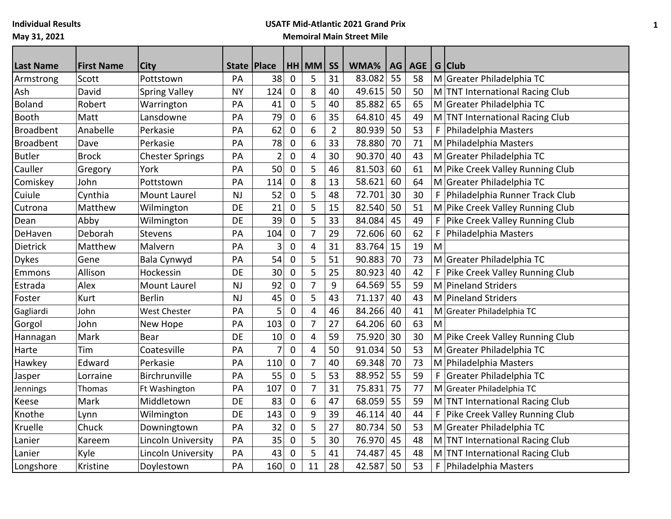**Individual Results**

## **May 31, 2021**

## **USATF Mid-Atlantic 2021 Grand Prix Memoiral Main Street Mile**

| <b>Last Name</b> | <b>First Name</b> | <b>City</b>            | State   Place |                |              | HH MM                   | <b>SS</b>      | WMA%   | AG | <b>AGE</b> |   | $G$ Club                         |
|------------------|-------------------|------------------------|---------------|----------------|--------------|-------------------------|----------------|--------|----|------------|---|----------------------------------|
| Armstrong        | Scott             | Pottstown              | PA            | 38             | $\mathbf 0$  | 5                       | 31             | 83.082 | 55 | 58         |   | M Greater Philadelphia TC        |
| Ash              | David             | <b>Spring Valley</b>   | <b>NY</b>     | 124            | 0            | 8                       | 40             | 49.615 | 50 | 50         |   | M TNT International Racing Club  |
| <b>Boland</b>    | Robert            | Warrington             | PA            | 41             | 0            | 5                       | 40             | 85.882 | 65 | 65         |   | M Greater Philadelphia TC        |
| <b>Booth</b>     | Matt              | Lansdowne              | PA            | 79             | $\mathbf{0}$ | 6                       | 35             | 64.810 | 45 | 49         |   | M TNT International Racing Club  |
| <b>Broadbent</b> | Anabelle          | Perkasie               | PA            | 62             | 0            | 6                       | $\overline{2}$ | 80.939 | 50 | 53         | F | Philadelphia Masters             |
| <b>Broadbent</b> | Dave              | Perkasie               | PA            | 78             | 0            | 6                       | 33             | 78.880 | 70 | 71         |   | M Philadelphia Masters           |
| <b>Butler</b>    | <b>Brock</b>      | <b>Chester Springs</b> | PA            | $\overline{2}$ | 0            | $\overline{4}$          | 30             | 90.370 | 40 | 43         |   | M Greater Philadelphia TC        |
| Cauller          | Gregory           | York                   | PA            | 50             | 0            | 5                       | 46             | 81.503 | 60 | 61         |   | M Pike Creek Valley Running Club |
| Comiskey         | John              | Pottstown              | PA            | 114            | 0            | 8                       | 13             | 58.621 | 60 | 64         |   | M Greater Philadelphia TC        |
| Cuiule           | Cynthia           | <b>Mount Laurel</b>    | <b>NJ</b>     | 52             | $\mathbf 0$  | 5                       | 48             | 72.701 | 30 | 30         | F | Philadelphia Runner Track Club   |
| Cutrona          | Matthew           | Wilmington             | DE            | 21             | 0            | 5                       | 15             | 82.540 | 50 | 51         |   | M Pike Creek Valley Running Club |
| Dean             | Abby              | Wilmington             | DE            | 39             | 0            | 5                       | 33             | 84.084 | 45 | 49         | F | Pike Creek Valley Running Club   |
| DeHaven          | Deborah           | Stevens                | PA            | 104            | 0            | $\overline{7}$          | 29             | 72.606 | 60 | 62         | F | Philadelphia Masters             |
| Dietrick         | Matthew           | Malvern                | PA            | 3              | 0            | $\overline{\mathbf{4}}$ | 31             | 83.764 | 15 | 19         | M |                                  |
| <b>Dykes</b>     | Gene              | Bala Cynwyd            | PA            | 54             | 0            | 5                       | 51             | 90.883 | 70 | 73         |   | M Greater Philadelphia TC        |
| Emmons           | Allison           | Hockessin              | DE            | 30             | 0            | 5                       | 25             | 80.923 | 40 | 42         | F | Pike Creek Valley Running Club   |
| Estrada          | Alex              | <b>Mount Laurel</b>    | NJ            | 92             | $\mathbf 0$  | $\overline{7}$          | 9              | 64.569 | 55 | 59         |   | M Pineland Striders              |
| Foster           | Kurt              | <b>Berlin</b>          | <b>NJ</b>     | 45             | 0            | 5                       | 43             | 71.137 | 40 | 43         | M | Pineland Striders                |
| Gagliardi        | John              | <b>West Chester</b>    | PA            | 5              | 0            | $\overline{\mathbf{4}}$ | 46             | 84.266 | 40 | 41         |   | M Greater Philadelphia TC        |
| Gorgol           | John              | New Hope               | PA            | 103            | $\mathbf 0$  | $\overline{7}$          | 27             | 64.206 | 60 | 63         | M |                                  |
| Hannagan         | Mark              | <b>Bear</b>            | <b>DE</b>     | 10             | $\mathbf 0$  | $\overline{4}$          | 59             | 75.920 | 30 | 30         |   | M Pike Creek Valley Running Club |
| Harte            | Tim               | Coatesville            | PA            | 7              | $\mathbf 0$  | $\overline{\mathbf{4}}$ | 50             | 91.034 | 50 | 53         |   | M Greater Philadelphia TC        |
| Hawkey           | Edward            | Perkasie               | PA            | 110            | 0            | $\overline{7}$          | 40             | 69.348 | 70 | 73         |   | M Philadelphia Masters           |
| Jasper           | Lorraine          | Birchrunville          | PA            | 55             | $\mathbf 0$  | 5                       | 53             | 88.952 | 55 | 59         | F | Greater Philadelphia TC          |
| Jennings         | Thomas            | Ft Washington          | PA            | 107            | $\mathbf 0$  | $\overline{7}$          | 31             | 75.831 | 75 | 77         |   | M Greater Philadelphia TC        |
| Keese            | Mark              | Middletown             | <b>DE</b>     | 83             | 0            | 6                       | 47             | 68.059 | 55 | 59         |   | M TNT International Racing Club  |
| Knothe           | Lynn              | Wilmington             | DE            | 143            | 0            | 9                       | 39             | 46.114 | 40 | 44         | F | Pike Creek Valley Running Club   |
| Kruelle          | Chuck             | Downingtown            | PA            | 32             | 0            | 5                       | 27             | 80.734 | 50 | 53         |   | M Greater Philadelphia TC        |
| Lanier           | Kareem            | Lincoln University     | PA            | 35             | 0            | 5                       | 30             | 76.970 | 45 | 48         |   | M TNT International Racing Club  |
| Lanier           | Kyle              | Lincoln University     | PA            | 43             | 0            | 5                       | 41             | 74.487 | 45 | 48         |   | M TNT International Racing Club  |
| Longshore        | Kristine          | Doylestown             | PA            | 160            | $\mathbf 0$  | 11                      | 28             | 42.587 | 50 | 53         | F | Philadelphia Masters             |